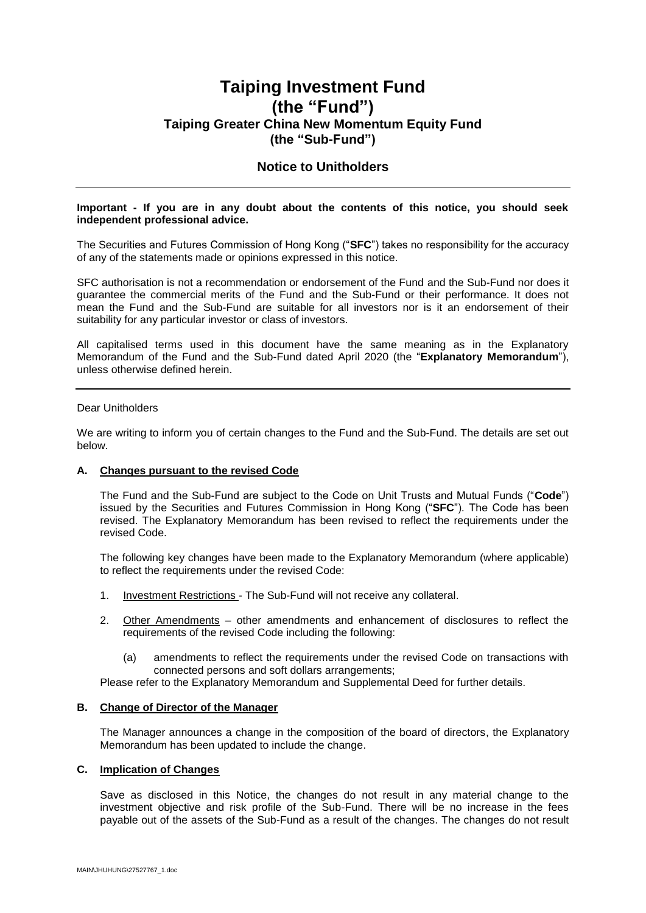# **Taiping Investment Fund (the "Fund") Taiping Greater China New Momentum Equity Fund (the "Sub-Fund")**

## **Notice to Unitholders**

#### **Important - If you are in any doubt about the contents of this notice, you should seek independent professional advice.**

The Securities and Futures Commission of Hong Kong ("**SFC**") takes no responsibility for the accuracy of any of the statements made or opinions expressed in this notice.

SFC authorisation is not a recommendation or endorsement of the Fund and the Sub-Fund nor does it guarantee the commercial merits of the Fund and the Sub-Fund or their performance. It does not mean the Fund and the Sub-Fund are suitable for all investors nor is it an endorsement of their suitability for any particular investor or class of investors.

All capitalised terms used in this document have the same meaning as in the Explanatory Memorandum of the Fund and the Sub-Fund dated April 2020 (the "**Explanatory Memorandum**"), unless otherwise defined herein.

#### Dear Unitholders

We are writing to inform you of certain changes to the Fund and the Sub-Fund. The details are set out below.

#### **A. Changes pursuant to the revised Code**

The Fund and the Sub-Fund are subject to the Code on Unit Trusts and Mutual Funds ("**Code**") issued by the Securities and Futures Commission in Hong Kong ("**SFC**"). The Code has been revised. The Explanatory Memorandum has been revised to reflect the requirements under the revised Code.

The following key changes have been made to the Explanatory Memorandum (where applicable) to reflect the requirements under the revised Code:

- 1. Investment Restrictions The Sub-Fund will not receive any collateral.
- 2. Other Amendments other amendments and enhancement of disclosures to reflect the requirements of the revised Code including the following:
	- (a) amendments to reflect the requirements under the revised Code on transactions with connected persons and soft dollars arrangements;

Please refer to the Explanatory Memorandum and Supplemental Deed for further details.

### **B. Change of Director of the Manager**

The Manager announces a change in the composition of the board of directors, the Explanatory Memorandum has been updated to include the change.

#### **C. Implication of Changes**

Save as disclosed in this Notice, the changes do not result in any material change to the investment objective and risk profile of the Sub-Fund. There will be no increase in the fees payable out of the assets of the Sub-Fund as a result of the changes. The changes do not result